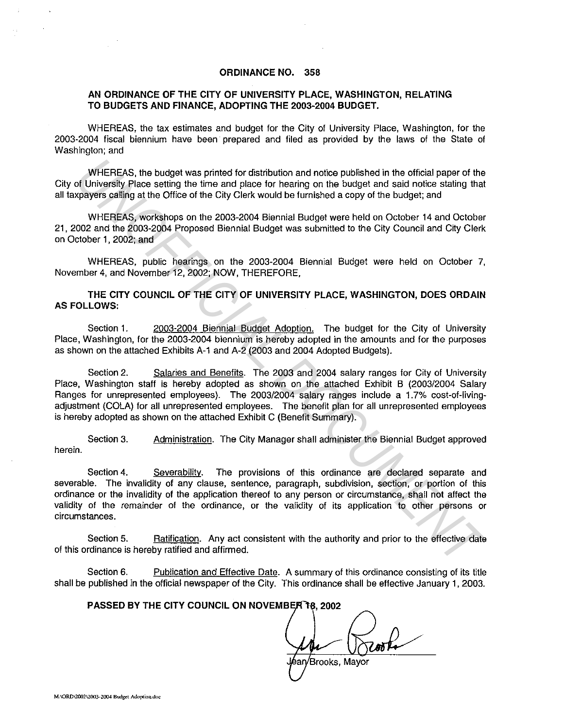### **ORDINANCE NO. 358**

### **AN ORDINANCE OF THE CITY OF UNIVERSITY PLACE, WASHINGTON, RELATING TO BUDGETS AND FINANCE, ADOPTING THE 2003-2004 BUDGET.**

WHEREAS, the tax estimates and budget for the City of University Place, Washington, for the 2003·2004 fiscal biennium have been prepared and filed as provided by the laws of the State of Washington; and

WHEREAS, the budget was printed for distribution and notice published in the official paper of the City of University Place setting the time and place for hearing on the budget and said notice stating that all taxpayers calling at the Office of the City Clerk would be furnished a copy of the budget; and

WHEREAS, workshops on the 2003-2004 Biennial Budget were held on October 14 and October 21, 2002 and the 2003-2004 Proposed Biennial Budget was submitted to the City Council and City Clerk on October **1,** 2002; and

WHEREAS, public hearings on the 2003-2004 Biennial Budget were held on October 7, November 4, and November 12, 2002; NOW, THEREFORE,

**THE CITY COUNCIL OF THE CITY OF UNIVERSITY PLACE, WASHINGTON, DOES ORDAIN AS FOLLOWS:** 

Section 1. 2003-2004 Biennial Budget Adoption. The budget for the City of University Place, Washington, for the 2003-2004 biennium is hereby adopted in the amounts and for the purposes as shown on the attached Exhibits A-1 and A-2 (2003 and 2004 Adopted Budgets).

Section 2. Salaries and Benefits. The 2003 and 2004 salary ranges for City of University Place, Washington staff is hereby adopted as shown on the attached Exhibit B (2003/2004 Salary Ranges for unrepresented employees). The 2003/2004 salary ranges include a 1.7% cost-of-livingadjustment (COLA) for all unrepresented employees. The benefit plan for all unrepresented employees is hereby adopted as shown on the attached Exhibit C (Benefit Summary). WHEREAS, the budget was printed for distribution and notice published in the official paper of the University Place setting that the part place of the part place for heart place for heart place to the part and action of th

Section 3. Administration. The City Manager shall administer the Biennial Budget approved herein.

Section 4. Severability. The provisions of this ordinance are declared separate and severable. The invalidity of any clause, sentence, paragraph, subdivision, section, or portion of this ordinance or the invalidity of the application thereof to any person or circumstance, shall not affect the validity of the remainder of the ordinance, or the validity of its application to other persons or circumstances.

Section 5. Ratification. Any act consistent with the authority and prior to the effective date of this ordinance is hereby ratified and affirmed.

Section 6. Publication and Effective Date. A summary of this ordinance consisting of its title shall be published in the official newspaper of the City. This ordinance shall be effective January 1, 2003.

#### **PASSED BY THE CITY COUNCIL ON NOVEMBER 18, 2002**

Brooks, Mayor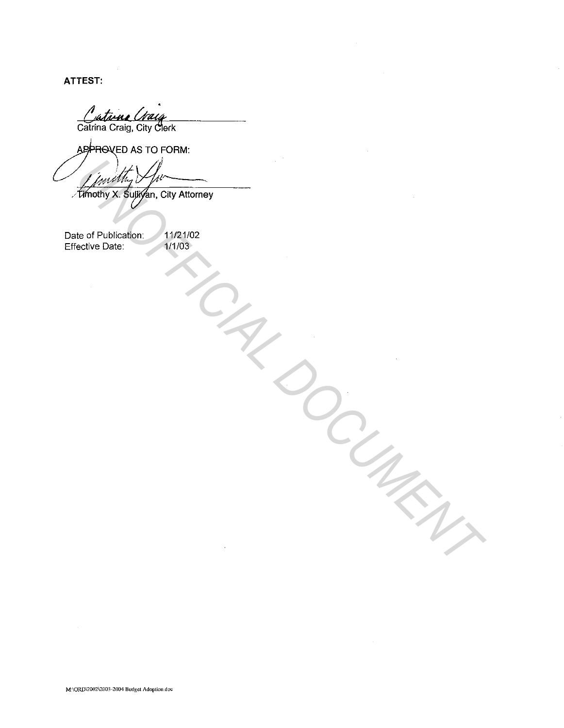ATTEST:

Cataine Craig

APPROVED AS TO FORM:

**Live of Public Life City Attorney**<br>
Le of Publication.<br>
Le of Publication.<br>
Control Date:<br>
Control Date:<br>
Control Date:<br>
Control Date:

Date of Publication: Effective Date: 11/21/02 1/1/03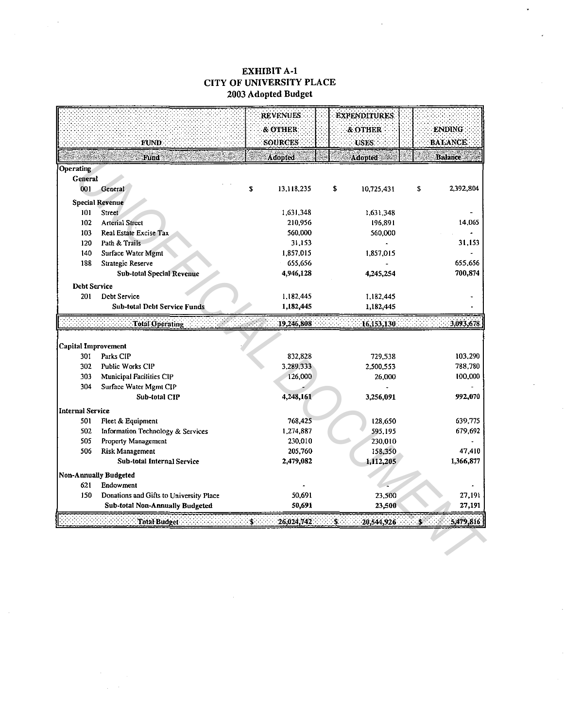## **EXHIBIT A-1** CITY OF UNIVERSITY PLACE 2003 Adopted Budget

 $\bar{\mathcal{A}}$ 

|                            | FUND.                                   | <b>REVENUES</b><br>& OTHER<br><b>SOURCES</b> | <b>EXPENDITURES</b><br>& OTHER<br><b>USES</b> | <b>ENDING</b><br><b>BALANCE</b> |
|----------------------------|-----------------------------------------|----------------------------------------------|-----------------------------------------------|---------------------------------|
|                            | Fund                                    | <b>Adopted</b>                               | <b>Adopted</b>                                | <b>Balance</b>                  |
| Operating                  |                                         |                                              |                                               |                                 |
| General                    |                                         |                                              |                                               |                                 |
| 001                        | <b>General</b>                          | 13,118,235<br>S                              | \$<br>10.725.431                              | 2.392,804<br>\$                 |
|                            | <b>Special Revenue</b>                  |                                              |                                               |                                 |
| 101                        | Street                                  | 1,631,348                                    | 1,631,348                                     |                                 |
| 102                        | <b>Arterial Street</b>                  | 210,956                                      | 196,891                                       | 14,065                          |
| 103                        | Real Estate Excise Tax                  | 560,000                                      | 560,000                                       |                                 |
| 120                        | Path & Trails                           | 31,153                                       |                                               | 31,153                          |
| 140                        | Surface Water Mgmt                      | 1,857,015                                    | 1,857,015                                     |                                 |
| 188                        | Strategic Reserve                       | 655,656                                      |                                               | 655.656                         |
|                            | <b>Sub-total Special Revenue</b>        | 4.946,128                                    | 4,245,254                                     | 700,874                         |
| <b>Debt Service</b>        |                                         |                                              |                                               |                                 |
| 201                        | Debt Service                            | 1,182,445                                    | 1,182,445                                     |                                 |
|                            | <b>Sub-total Debt Service Funds</b>     | 1,182,445                                    | 1.182,445                                     |                                 |
|                            | Total Operating                         | 19.246,808                                   | 16,153,130                                    | 3.093,678                       |
|                            |                                         |                                              |                                               |                                 |
| <b>Capital Improvement</b> |                                         |                                              |                                               |                                 |
| 301                        | Parks CIP                               | 832,828                                      | 729,538                                       | 103,290                         |
| 302                        | Public Works CIP                        | 3,289,333                                    | 2,500,553                                     | 788,780                         |
| 303                        | <b>Municipal Facilities CIP</b>         | 126,000                                      | 26,000                                        | 100,000                         |
| 304                        | Surface Water Mgmt CIP                  |                                              |                                               |                                 |
|                            | Sub-total CIP                           | 4,248,161                                    | 3.256,091                                     | 992,070                         |
| Internal Service           |                                         |                                              |                                               |                                 |
| 501                        | Fleet & Equipment                       | 768,425                                      | 128,650                                       | 639,775                         |
| 502                        | Information Technology & Services       | 1.274,887                                    | 595,195                                       | 679,692                         |
| 505                        | Property Management                     | 230,010                                      | 230,010                                       |                                 |
| 506                        | <b>Risk Management</b>                  | 205,760                                      | 158,350                                       | 47,410                          |
|                            | Sub-total Internal Service              | 2,479,082                                    | 1,112,205                                     | 1,366,877                       |
|                            | Non-Annually Budgeted                   |                                              |                                               |                                 |
| 621                        | Endowment                               |                                              |                                               |                                 |
| 150                        | Donations and Gifts to University Place | 50.691                                       | 23,500                                        | 27,191                          |
|                            | <b>Sub-total Non-Annually Budgeted</b>  | 50,691                                       | 23,500                                        | 27,191                          |
|                            | Total Budget                            | 26,024,742<br>s.                             | S.<br>20,544,926                              | 5,479,816<br>Š.                 |
|                            |                                         |                                              |                                               |                                 |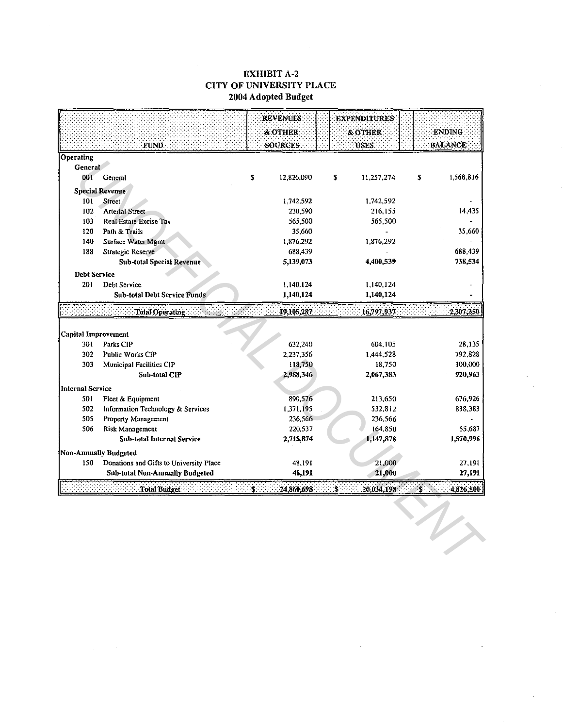## **EXHIBIT A-2 CITY OF UNIVERSITY PLACE** 2004 Adopted Budget

|                         |                                         |    | <b>REVENUES</b>     | <b>EXPENDITURES</b> |            |                |
|-------------------------|-----------------------------------------|----|---------------------|---------------------|------------|----------------|
|                         |                                         |    | <b>&amp; OTHER:</b> | <b>&amp; OTHER</b>  |            | <b>ENDING</b>  |
|                         | FUND.                                   |    | <b>SOURCES</b>      | USES:               |            | <b>BALANCE</b> |
| <b>Operating</b>        |                                         |    |                     |                     |            |                |
| <b>General</b>          |                                         |    |                     |                     |            |                |
| 001                     | General                                 | \$ | 12,826,090          | \$<br>11,257,274    | \$         | 1,568,816      |
|                         | <b>Special Revenue</b>                  |    |                     |                     |            |                |
| 101                     | <b>Street</b>                           |    | 1,742,592           | 1,742,592           |            |                |
| 102                     | <b>Arterial Street</b>                  |    | 230,590             | 216,155             |            | 14,435         |
| 103                     | Real Estate Excise Tax                  |    | 565,500             | 565,500             |            |                |
| 120                     | Path & Trails                           |    | 35,660              |                     |            | 35,660         |
| 140                     | Surface Water Mgmt                      |    | 1,876,292           | 1876,292            |            |                |
| 188                     | Strategic Reserve                       |    | 688,439             |                     |            | 688,439        |
|                         | <b>Sub-total Special Revenue</b>        |    | 5,139,073           | 4,400,539           |            | 738,534        |
| <b>Debt Service</b>     |                                         |    |                     |                     |            |                |
| 201                     | Debt Service                            |    | 1,140,124           | 1,140,124           |            |                |
|                         | <b>Sub-total Debt Service Funds</b>     |    | 1,140,124           | 1,140,124           |            |                |
|                         | Total Operating                         |    | 19,105,287          | 16,797,937          |            | 2,307,350      |
|                         |                                         |    |                     |                     |            |                |
| Capital Improvement     |                                         |    |                     |                     |            |                |
| 301                     | Parks CIP                               |    | 632,240             | 604,105             |            | 28,135         |
| 302                     | Public Works CIP                        |    | 2,237,356           | 1,444,528           |            | 792,828        |
| 303                     | Municipal Facilities CIP                |    | 118,750             | 18,750              |            | 100,000        |
|                         | Sub-total CIP                           |    | 2,988,346           | 2,067,383           |            | 920,963        |
| <b>Internal Service</b> |                                         |    |                     |                     |            |                |
| 501                     | Fleet & Equipment                       |    | 890,576             | 213,650             |            | 676,926        |
| 502                     | Information Technology & Services       |    | 1,371,195           | 532,812             |            | 838,383        |
| 505                     | Property Management                     |    | 236,566             | 236,566             |            |                |
| 506                     | Risk Management                         |    | 220,537             | 164,850             |            | 55,687         |
|                         | <b>Sub-total Internal Service</b>       |    | 2,718,874           | 1,147,878           |            | 1,570,996      |
|                         | Non-Annually Budgeted                   |    |                     |                     |            |                |
| 150                     | Donations and Gifts to University Place |    | 48,191              | 21,000              |            | 27,191         |
|                         | <b>Sub-total Non-Annually Budgeted</b>  |    | 48,191              | 21,000              |            | 27,191         |
|                         | Total Budget                            | S. | 24,860,698          | 20,034,198<br>Š.    | <b>. ج</b> | 4.826,500      |
|                         |                                         |    |                     |                     |            |                |
|                         |                                         |    |                     |                     |            |                |
|                         |                                         |    |                     |                     |            |                |
|                         |                                         |    |                     |                     |            |                |
|                         |                                         |    |                     |                     |            |                |
|                         |                                         |    |                     |                     |            |                |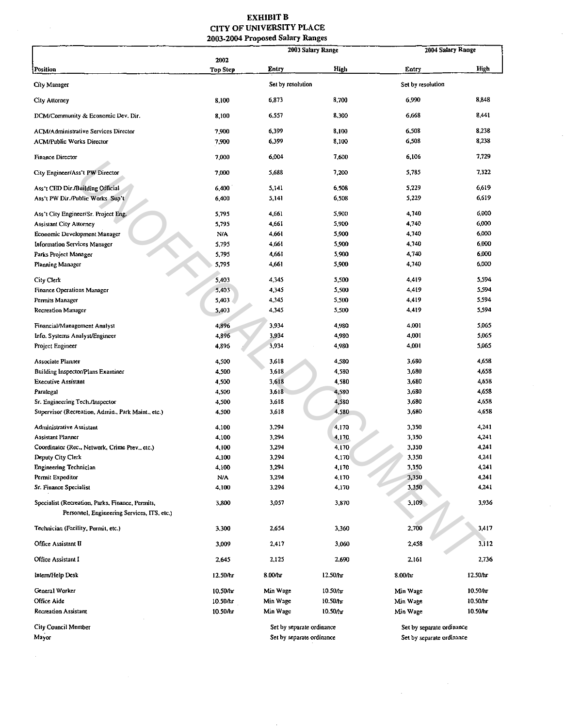### EXHIBIT **B** CITY OF UNIVERSITY PLACE 2003-2004 Proposed Salary Ranges

|                                                                                                 |                 | 2003 Salary Range         |          | 2004 Salary Range         |             |
|-------------------------------------------------------------------------------------------------|-----------------|---------------------------|----------|---------------------------|-------------|
|                                                                                                 | 2002            |                           |          |                           |             |
| Position                                                                                        | <b>Top Step</b> | Entry                     | High     | Entry                     | <b>High</b> |
| City Manager                                                                                    |                 | Set by resolution         |          | Set by resolution         |             |
| City Attorney                                                                                   | 8,100           | 6,873                     | 8,700    | 6,990                     | 8,348       |
| DCM/Community & Economic Dev. Dir.                                                              | 8.100           | 6,557                     | 8 300    | 6,668                     | 8,441       |
| ACM/Administrative Services Director                                                            | 7.900           | 6,399                     | 8.100    | 6,508                     | 8 2 3 8     |
| <b>ACM/Public Works Director</b>                                                                | 7,900           | 6,399                     | 8,100    | 6,508                     | 8,238       |
| <b>Finance Director</b>                                                                         | 7,000           | 6,004                     | 7.600    | 6,106                     | 7.729       |
| City Engineer/Ass't PW Director                                                                 | 7.000           | 5,688                     | 7,200    | 5,785                     | 7.322       |
| Ass't CED Dir./Building Official                                                                | 6.400           | 5,141                     | 6.508    | 5,229                     | 6.619       |
| Ass't PW Dir./Public Works Sup't                                                                | 6,400           | 5,141                     | 6.508    | 5,229                     | 6.619       |
| Ass't City Engineer/Sr. Project Eng.                                                            | 5.795           | 4,661                     | 5,900    | 4,740                     | 6.000       |
| <b>Assistant City Attorney</b>                                                                  | 5,795           | 4,661                     | 5,900    | 4,740                     | 6,000       |
| Economic Development Manager                                                                    | <b>NIA</b>      | 4,661                     | 5,900    | 4,740                     | 6,000       |
| <b>Information Services Manager</b>                                                             | 5,795           | 4,661                     | 5,900    | 4,740                     | 6,000       |
| Parks Project Manager                                                                           | 5,795           | 4,661                     | 5.900    | 4,740                     | 6,000       |
| Planning Manager                                                                                | 5,795           | 4,661                     | 5,900    | 4,740                     | 6,000       |
| City Clerk                                                                                      | 5,403           | 4,345                     | 5,500    | 4,419                     | 5.594       |
| Finance Operations Manager                                                                      | 5,403           | 4,345                     | 5,500    | 4,419                     | 5.594       |
| Permits Manager                                                                                 | 5.403           | 4,345                     | 5,500    | 4,419                     | 5 5 9 4     |
| Recreation Manager                                                                              | 5,403           | 4,345                     | 5,500    | 4,419                     | 5,594       |
| Financial/Management Analyst                                                                    | 4,896           | 3,934                     | 4,980    | 4,001                     | 5.065       |
| Info. Systems Analyst/Engineer                                                                  | 4,896           | 3,934                     | 4,980    | 4,001                     | 5,065       |
| Project Engineer                                                                                | 4,896           | 3,934                     | 4,980    | 4,001                     | 5,065       |
| <b>Associate Planner</b>                                                                        | 4,500           | 3,618                     | 4,580    | 3,680                     | 4,658       |
| Building Inspector/Plans Examiner                                                               | 4,500           | 3,618                     | 4,580    | 3,680                     | 4,658       |
| <b>Executive Assistant</b>                                                                      | 4.500           | 3,618                     | 4,580    | 3,680                     | 4,658       |
| Paralegal                                                                                       | 4.500           | 3,618                     | 4,580    | 3,680                     | 4,658       |
| Sr. Engineering Tech./Inspector                                                                 | 4,500           | 3,618                     | 4,580    | 3,680                     | 4,658       |
| Supervisor (Recreation, Admin., Park Maint., etc.)                                              | 4,500           | 3,618                     | 4,580    | 3,680                     | 4,658       |
| Administrative Assistant                                                                        | 4,100           | 3,294                     | 4,170    | 3,350                     | 4,241       |
| <b>Assistant Planner</b>                                                                        | 4,100           | 3,294                     | 4,170    | 3,350                     | 4,241       |
| Coordinator (Rec., Network, Crime Prev., etc.)                                                  | 4,100           | 3,294                     | 4,170    | 3,350                     | 4,241       |
| Deputy City Clerk                                                                               | 4,100           | 3,294                     | 4,170    | 3,350                     | 4,241       |
| Engineering Technician                                                                          | 4,100           | 3,294                     | 4,170    | 3,350                     | 4,241       |
| Permit Expeditor                                                                                | N/A             | 3,294                     | 4,170    | 3,350                     | 4,241       |
| Sr. Finance Specialist                                                                          | 4,100           | 3,294                     | 4,170    | 3,350                     | 4,241       |
| Specialist (Recreation, Parks, Finance, Permits,<br>Personnel, Engineering Services, ITS, etc.) | 3,800           | 3,057                     | 3,870    | 3,109                     | 3,936       |
| Technician (Facility, Permit, etc.)                                                             | 3,300           | 2,654                     | 3,360    | 2,700                     | 3,417       |
| Office Assistant II                                                                             | 3,009           | 2,417                     | 3,060    | 2,458                     | 3,112       |
| Office Assistant I                                                                              | 2,645           | 2,125                     | 2,690    | 2.161                     | 2,736       |
| Intern/Help Desk                                                                                | 12.50/hr        | 8.00/nr                   | 12.50/hr | 8.00/hr                   | 12.50/hr    |
| General Worker                                                                                  | 10.50/hr        | Min Wage                  | 10.50/hr | Min Wage                  | 10.50/hr    |
| Office Aide                                                                                     | 10.50 hr        | Min Wage                  | 10.50/hr | Min Wage                  | 10.50/hr    |
| <b>Recreation Assistant</b>                                                                     | 10.50/ы         | Min Wage                  | 10.50/lu | Min Wage                  | 10.50/hr    |
| City Council Member                                                                             |                 | Set by separate ordinance |          | Set by separate ordinance |             |
| Mayor                                                                                           |                 | Set by separate ordinance |          | Set by separate ordinance |             |

 $\sim$ 

 $\Delta \sim 1$ 

 $\sim 10^{-1}$ 

 $\hat{\boldsymbol{\tau}}$